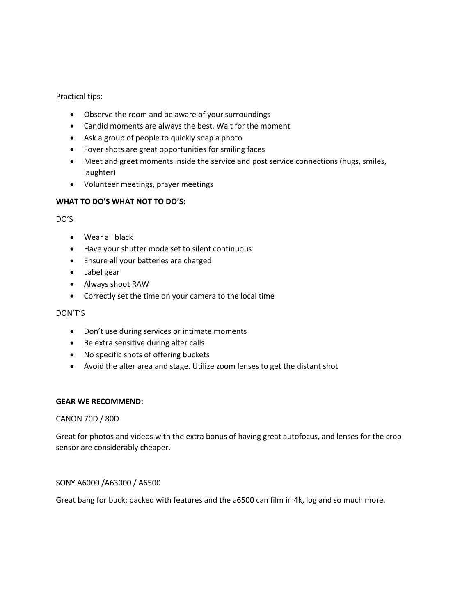Practical tips:

- Observe the room and be aware of your surroundings
- Candid moments are always the best. Wait for the moment
- Ask a group of people to quickly snap a photo
- Foyer shots are great opportunities for smiling faces
- Meet and greet moments inside the service and post service connections (hugs, smiles, laughter)
- Volunteer meetings, prayer meetings

## **WHAT TO DO'S WHAT NOT TO DO'S:**

DO'S

- Wear all black
- Have your shutter mode set to silent continuous
- Ensure all your batteries are charged
- Label gear
- Always shoot RAW
- Correctly set the time on your camera to the local time

DON'T'S

- Don't use during services or intimate moments
- Be extra sensitive during alter calls
- No specific shots of offering buckets
- Avoid the alter area and stage. Utilize zoom lenses to get the distant shot

### **GEAR WE RECOMMEND:**

### CANON 70D / 80D

Great for photos and videos with the extra bonus of having great autofocus, and lenses for the crop sensor are considerably cheaper.

## SONY A6000 /A63000 / A6500

Great bang for buck; packed with features and the a6500 can film in 4k, log and so much more.